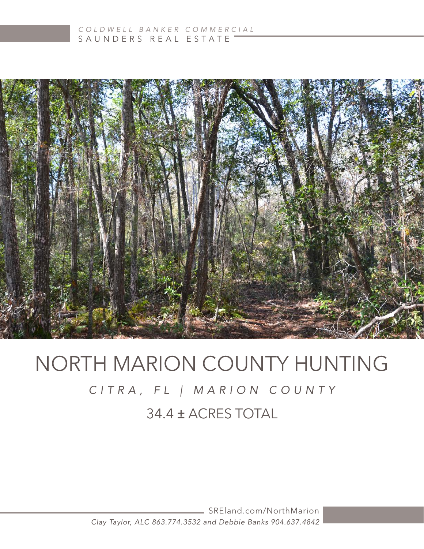

# NORTH MARION COUNTY HUNTING 34.4 ± ACRES TOTAL *CITRA, FL | MARION COUNTY*